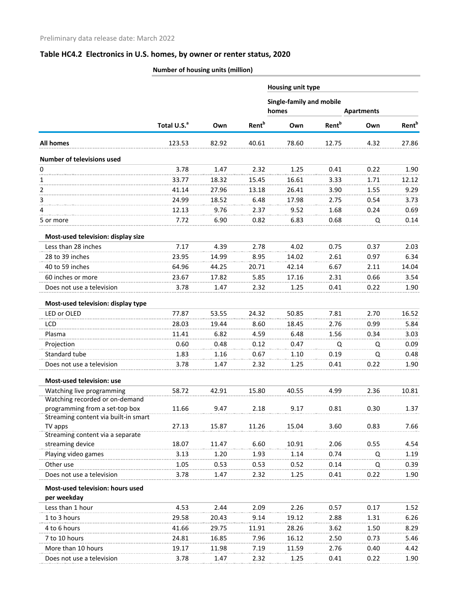|                                             | Number of housing units (million) |       |                          |                          |                          |                   |                          |
|---------------------------------------------|-----------------------------------|-------|--------------------------|--------------------------|--------------------------|-------------------|--------------------------|
|                                             |                                   |       |                          | <b>Housing unit type</b> |                          |                   |                          |
|                                             |                                   |       |                          | Single-family and mobile |                          |                   |                          |
|                                             |                                   |       |                          | homes                    |                          | <b>Apartments</b> |                          |
|                                             | Total U.S. <sup>a</sup>           | Own   | <b>Rent</b> <sup>b</sup> | Own                      | <b>Rent</b> <sup>b</sup> | Own               | <b>Rent</b> <sup>b</sup> |
| <b>All homes</b>                            | 123.53                            | 82.92 | 40.61                    | 78.60                    | 12.75                    | 4.32              | 27.86                    |
| <b>Number of televisions used</b>           |                                   |       |                          |                          |                          |                   |                          |
| 0                                           | 3.78                              | 1.47  | 2.32                     | 1.25                     | 0.41                     | 0.22              | 1.90                     |
| 1                                           | 33.77                             | 18.32 | 15.45                    | 16.61                    | 3.33                     | 1.71              | 12.12                    |
| $\overline{2}$                              | 41.14                             | 27.96 | 13.18                    | 26.41                    | 3.90                     | 1.55              | 9.29                     |
| 3                                           | 24.99                             | 18.52 | 6.48                     | 17.98                    | 2.75                     | 0.54              | 3.73                     |
| 4                                           | 12.13                             | 9.76  | 2.37                     | 9.52                     | 1.68                     | 0.24              | 0.69                     |
| 5 or more                                   | 7.72                              | 6.90  | 0.82                     | 6.83                     | 0.68                     | Q                 | 0.14                     |
| Most-used television: display size          |                                   |       |                          |                          |                          |                   |                          |
| Less than 28 inches                         | 7.17                              | 4.39  | 2.78                     | 4.02                     | 0.75                     | 0.37              | 2.03                     |
| 28 to 39 inches                             | 23.95                             | 14.99 | 8.95                     | 14.02                    | 2.61                     | 0.97              | 6.34                     |
| 40 to 59 inches                             | 64.96                             | 44.25 | 20.71                    | 42.14                    | 6.67                     | 2.11              | 14.04                    |
| 60 inches or more                           | 23.67                             | 17.82 | 5.85                     | 17.16                    | 2.31                     | 0.66              | 3.54                     |
| Does not use a television                   | 3.78                              | 1.47  | 2.32                     | 1.25                     | 0.41                     | 0.22              | 1.90                     |
| Most-used television: display type          |                                   |       |                          |                          |                          |                   |                          |
| LED or OLED                                 | 77.87                             | 53.55 | 24.32                    | 50.85                    | 7.81                     | 2.70              | 16.52                    |
| <b>LCD</b>                                  | 28.03                             | 19.44 | 8.60                     | 18.45                    | 2.76                     | 0.99              | 5.84                     |
| Plasma                                      | 11.41                             | 6.82  | 4.59                     | 6.48                     | 1.56                     | 0.34              | 3.03                     |
| Projection                                  | 0.60                              | 0.48  | 0.12                     | 0.47                     | Q                        | Q                 | 0.09                     |
| Standard tube                               | 1.83                              | 1.16  | 0.67                     | 1.10                     | 0.19                     | Q                 | 0.48                     |
| Does not use a television                   | 3.78                              | 1.47  | 2.32                     | 1.25                     | 0.41                     | 0.22              | 1.90                     |
| <b>Most-used television: use</b>            |                                   |       |                          |                          |                          |                   |                          |
| Watching live programming                   | 58.72                             | 42.91 | 15.80                    | 40.55                    | 4.99                     | 2.36              | 10.81                    |
| Watching recorded or on-demand              |                                   |       |                          |                          |                          |                   |                          |
| programming from a set-top box              | 11.66                             | 9.47  | 2.18                     | 9.17                     | 0.81                     | 0.30              | 1.37                     |
| Streaming content via built-in smart        |                                   |       |                          |                          |                          |                   |                          |
| TV apps<br>Streaming content via a separate | 27.13                             | 15.87 | 11.26                    | 15.04                    | 3.60                     | 0.83              | 7.66                     |
| streaming device                            | 18.07                             | 11.47 | 6.60                     | 10.91                    | 2.06                     | 0.55              | 4.54                     |
| Playing video games                         | 3.13                              | 1.20  | 1.93                     | 1.14                     | 0.74                     | Q                 | 1.19                     |
| Other use                                   | 1.05                              | 0.53  | 0.53                     | 0.52                     | 0.14                     | Q                 | 0.39                     |
| Does not use a television                   | 3.78                              | 1.47  | 2.32                     | 1.25                     | 0.41                     | 0.22              | 1.90                     |
| Most-used television: hours used            |                                   |       |                          |                          |                          |                   |                          |
| per weekday                                 |                                   |       |                          |                          |                          |                   |                          |
| Less than 1 hour                            | 4.53                              | 2.44  | 2.09                     | 2.26                     | 0.57                     | 0.17              | 1.52                     |
| 1 to 3 hours                                | 29.58                             | 20.43 | 9.14                     | 19.12                    | 2.88                     | 1.31              | 6.26                     |
| 4 to 6 hours                                | 41.66                             | 29.75 | 11.91                    | 28.26                    | 3.62                     | 1.50              | 8.29                     |
| 7 to 10 hours                               | 24.81                             | 16.85 | 7.96                     | 16.12                    | 2.50                     | 0.73              | 5.46                     |
| More than 10 hours                          | 19.17                             | 11.98 | 7.19                     | 11.59                    | 2.76                     | 0.40              | 4.42                     |
| Does not use a television                   | 3.78                              | 1.47  | 2.32                     | 1.25                     | 0.41                     | 0.22              | 1.90                     |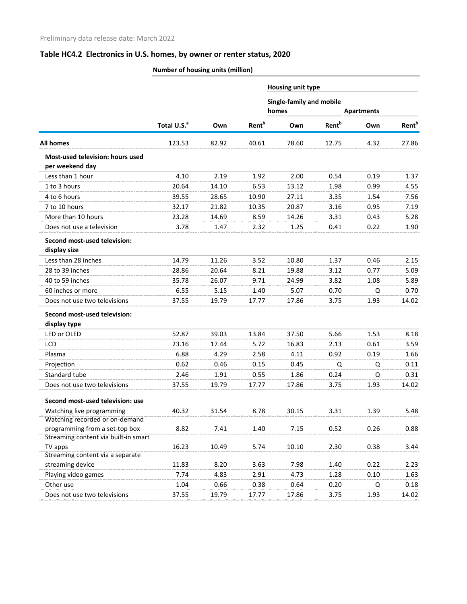|                                                             | Number of housing units (million) |       |                          |                                   |                          |                   |                          |  |  |
|-------------------------------------------------------------|-----------------------------------|-------|--------------------------|-----------------------------------|--------------------------|-------------------|--------------------------|--|--|
|                                                             |                                   |       |                          | <b>Housing unit type</b>          |                          |                   |                          |  |  |
|                                                             |                                   |       |                          | Single-family and mobile<br>homes |                          | <b>Apartments</b> |                          |  |  |
|                                                             | Total U.S. <sup>a</sup>           | Own   | <b>Rent</b> <sup>b</sup> | Own                               | <b>Rent</b> <sup>b</sup> | Own               | <b>Rent</b> <sup>b</sup> |  |  |
| <b>All homes</b>                                            | 123.53                            | 82.92 | 40.61                    | 78.60                             | 12.75                    | 4.32              | 27.86                    |  |  |
| <b>Most-used television: hours used</b><br>per weekend day  |                                   |       |                          |                                   |                          |                   |                          |  |  |
| Less than 1 hour                                            | 4.10                              | 2.19  | 1.92                     | 2.00                              | 0.54                     | 0.19              | 1.37                     |  |  |
| 1 to 3 hours                                                | 20.64                             | 14.10 | 6.53                     | 13.12                             | 1.98                     | 0.99              | 4.55                     |  |  |
| 4 to 6 hours                                                | 39.55                             | 28.65 | 10.90                    | 27.11                             | 3.35                     | 1.54              | 7.56                     |  |  |
| 7 to 10 hours                                               | 32.17                             | 21.82 | 10.35                    | 20.87                             | 3.16                     | 0.95              | 7.19                     |  |  |
| More than 10 hours                                          | 23.28                             | 14.69 | 8.59                     | 14.26                             | 3.31                     | 0.43              | 5.28                     |  |  |
| Does not use a television                                   | 3.78                              | 1.47  | 2.32                     | 1.25                              | 0.41                     | 0.22              | 1.90                     |  |  |
| Second most-used television:<br>display size                |                                   |       |                          |                                   |                          |                   |                          |  |  |
| Less than 28 inches                                         | 14.79                             | 11.26 | 3.52                     | 10.80                             | 1.37                     | 0.46              | 2.15                     |  |  |
| 28 to 39 inches                                             | 28.86                             | 20.64 | 8.21                     | 19.88                             | 3.12                     | 0.77              | 5.09                     |  |  |
| 40 to 59 inches                                             | 35.78                             | 26.07 | 9.71                     | 24.99                             | 3.82                     | 1.08              | 5.89                     |  |  |
| 60 inches or more                                           | 6.55                              | 5.15  | 1.40                     | 5.07                              | 0.70                     | Q                 | 0.70                     |  |  |
| Does not use two televisions                                | 37.55                             | 19.79 | 17.77                    | 17.86                             | 3.75                     | 1.93              | 14.02                    |  |  |
| Second most-used television:                                |                                   |       |                          |                                   |                          |                   |                          |  |  |
| display type                                                |                                   |       |                          |                                   |                          |                   |                          |  |  |
| LED or OLED                                                 | 52.87                             | 39.03 | 13.84                    | 37.50                             | 5.66                     | 1.53              | 8.18                     |  |  |
| <b>LCD</b>                                                  | 23.16                             | 17.44 | 5.72                     | 16.83                             | 2.13                     | 0.61              | 3.59                     |  |  |
| Plasma                                                      | 6.88                              | 4.29  | 2.58                     | 4.11                              | 0.92                     | 0.19              | 1.66                     |  |  |
| Projection                                                  | 0.62                              | 0.46  | 0.15                     | 0.45                              | Q                        | Q                 | 0.11                     |  |  |
| Standard tube                                               | 2.46                              | 1.91  | 0.55                     | 1.86                              | 0.24                     | Q                 | 0.31                     |  |  |
| Does not use two televisions                                | 37.55                             | 19.79 | 17.77                    | 17.86                             | 3.75                     | 1.93              | 14.02                    |  |  |
| Second most-used television: use                            |                                   |       |                          |                                   |                          |                   |                          |  |  |
| Watching live programming<br>Watching recorded or on-demand | 40.32                             | 31.54 | 8.78                     | 30.15                             | 3.31                     | 1.39              | 5.48                     |  |  |
| programming from a set-top box                              | 8.82                              | 7.41  | 1.40                     | 7.15                              | 0.52                     | 0.26              | 0.88                     |  |  |
| Streaming content via built-in smart                        |                                   |       |                          |                                   |                          |                   |                          |  |  |
| TV apps<br>Streaming content via a separate                 | 16.23                             | 10.49 | 5.74                     | 10.10                             | 2.30                     | 0.38              | 3.44                     |  |  |
| streaming device                                            | 11.83                             | 8.20  | 3.63                     | 7.98                              | 1.40                     | 0.22              | 2.23                     |  |  |
| Playing video games                                         | 7.74                              | 4.83  | 2.91                     | 4.73                              | 1.28                     | 0.10              | 1.63                     |  |  |
| Other use                                                   | 1.04                              | 0.66  | 0.38                     | 0.64                              | 0.20                     | Q                 | 0.18                     |  |  |
| Does not use two televisions                                | 37.55                             | 19.79 | 17.77                    | 17.86                             | 3.75                     | 1.93              | 14.02                    |  |  |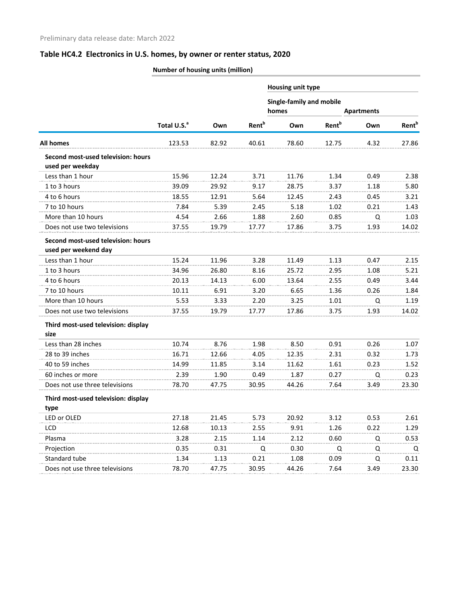|                                                            | vaniber of nousing units (infinition) |       |                                   |                   |                          |      |                   |
|------------------------------------------------------------|---------------------------------------|-------|-----------------------------------|-------------------|--------------------------|------|-------------------|
|                                                            |                                       |       |                                   | Housing unit type |                          |      |                   |
|                                                            |                                       |       | Single-family and mobile<br>homes |                   | <b>Apartments</b>        |      |                   |
|                                                            | Total U.S. <sup>a</sup>               | Own   | <b>Rent</b> <sup>b</sup>          | Own               | <b>Rent</b> <sup>b</sup> | Own  | Rent <sup>b</sup> |
| <b>All homes</b>                                           | 123.53                                | 82.92 | 40.61                             | 78.60             | 12.75                    | 4.32 | 27.86             |
| Second most-used television: hours<br>used per weekday     |                                       |       |                                   |                   |                          |      |                   |
| Less than 1 hour                                           | 15.96                                 | 12.24 | 3.71                              | 11.76             | 1.34                     | 0.49 | 2.38              |
| 1 to 3 hours                                               | 39.09                                 | 29.92 | 9.17                              | 28.75             | 3.37                     | 1.18 | 5.80              |
| 4 to 6 hours                                               | 18.55                                 | 12.91 | 5.64                              | 12.45             | 2.43                     | 0.45 | 3.21              |
| 7 to 10 hours                                              | 7.84                                  | 5.39  | 2.45                              | 5.18              | 1.02                     | 0.21 | 1.43              |
| More than 10 hours                                         | 4.54                                  | 2.66  | 1.88                              | 2.60              | 0.85                     | Q    | 1.03              |
| Does not use two televisions                               | 37.55                                 | 19.79 | 17.77                             | 17.86             | 3.75                     | 1.93 | 14.02             |
| Second most-used television: hours<br>used per weekend day |                                       |       |                                   |                   |                          |      |                   |
| Less than 1 hour                                           | 15.24                                 | 11.96 | 3.28                              | 11.49             | 1.13                     | 0.47 | 2.15              |
| 1 to 3 hours                                               | 34.96                                 | 26.80 | 8.16                              | 25.72             | 2.95                     | 1.08 | 5.21              |
| 4 to 6 hours                                               | 20.13                                 | 14.13 | 6.00                              | 13.64             | 2.55                     | 0.49 | 3.44              |
| 7 to 10 hours                                              | 10.11                                 | 6.91  | 3.20                              | 6.65              | 1.36                     | 0.26 | 1.84              |
| More than 10 hours                                         | 5.53                                  | 3.33  | 2.20                              | 3.25              | 1.01                     | Q    | 1.19              |
| Does not use two televisions                               | 37.55                                 | 19.79 | 17.77                             | 17.86             | 3.75                     | 1.93 | 14.02             |
| Third most-used television: display<br>size                |                                       |       |                                   |                   |                          |      |                   |
| Less than 28 inches                                        | 10.74                                 | 8.76  | 1.98                              | 8.50              | 0.91                     | 0.26 | 1.07              |
| 28 to 39 inches                                            | 16.71                                 | 12.66 | 4.05                              | 12.35             | 2.31                     | 0.32 | 1.73              |
| 40 to 59 inches                                            | 14.99                                 | 11.85 | 3.14                              | 11.62             | 1.61                     | 0.23 | 1.52              |
| 60 inches or more                                          | 2.39                                  | 1.90  | 0.49                              | 1.87              | 0.27                     | Q    | 0.23              |
| Does not use three televisions                             | 78.70                                 | 47.75 | 30.95                             | 44.26             | 7.64                     | 3.49 | 23.30             |
| Third most-used television: display<br>type                |                                       |       |                                   |                   |                          |      |                   |
| LED or OLED                                                | 27.18                                 | 21.45 | 5.73                              | 20.92             | 3.12                     | 0.53 | 2.61              |
| LCD                                                        | 12.68                                 | 10.13 | 2.55                              | 9.91              | 1.26                     | 0.22 | 1.29              |
| Plasma                                                     | 3.28                                  | 2.15  | 1.14                              | 2.12              | 0.60                     | Q    | 0.53              |
| Projection                                                 | 0.35                                  | 0.31  | Q                                 | 0.30              | Q                        | Q    | Q                 |
| Standard tube                                              | 1.34                                  | 1.13  | 0.21                              | 1.08              | 0.09                     | Q    | 0.11              |
| Does not use three televisions                             | 78.70                                 | 47.75 | 30.95                             | 44.26             | 7.64                     | 3.49 | 23.30             |
|                                                            |                                       |       |                                   |                   |                          |      |                   |

**Number of housing units (million)**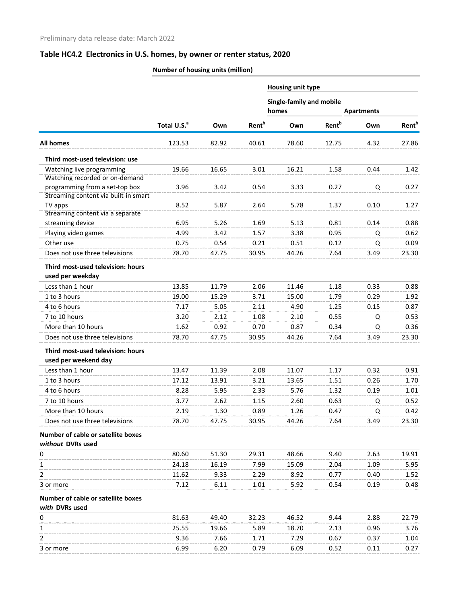|                                      | Number of housing units (million) |       |                          |                                          |                          |                   |                          |
|--------------------------------------|-----------------------------------|-------|--------------------------|------------------------------------------|--------------------------|-------------------|--------------------------|
|                                      |                                   |       |                          | Housing unit type                        |                          |                   |                          |
|                                      |                                   |       |                          | <b>Single-family and mobile</b><br>homes |                          | <b>Apartments</b> |                          |
|                                      | Total U.S. <sup>a</sup>           | Own   | <b>Rent</b> <sup>b</sup> | Own                                      | <b>Rent</b> <sup>b</sup> | Own               | <b>Rent</b> <sup>b</sup> |
| All homes                            | 123.53                            | 82.92 | 40.61                    | 78.60                                    | 12.75                    | 4.32              | 27.86                    |
| Third most-used television: use      |                                   |       |                          |                                          |                          |                   |                          |
| Watching live programming            | 19.66                             | 16.65 | 3.01                     | 16.21                                    | 1.58                     | 0.44              | 1.42                     |
| Watching recorded or on-demand       |                                   |       |                          |                                          |                          |                   |                          |
| programming from a set-top box       | 3.96                              | 3.42  | 0.54                     | 3.33                                     | 0.27                     | Q                 | 0.27                     |
| Streaming content via built-in smart |                                   |       |                          |                                          |                          |                   |                          |
| TV apps                              | 8.52                              | 5.87  | 2.64                     | 5.78                                     | 1.37                     | 0.10              | 1.27                     |
| Streaming content via a separate     |                                   |       |                          |                                          |                          |                   |                          |
| streaming device                     | 6.95                              | 5.26  | 1.69                     | 5.13                                     | 0.81                     | 0.14              | 0.88                     |
| Playing video games                  | 4.99                              | 3.42  | 1.57                     | 3.38                                     | 0.95                     | Q                 | 0.62                     |
| Other use                            | 0.75                              | 0.54  | 0.21                     | 0.51                                     | 0.12                     | Q                 | 0.09                     |
| Does not use three televisions       | 78.70                             | 47.75 | 30.95                    | 44.26                                    | 7.64                     | 3.49              | 23.30                    |
| Third most-used television: hours    |                                   |       |                          |                                          |                          |                   |                          |
| used per weekday                     |                                   |       |                          |                                          |                          |                   |                          |
| Less than 1 hour                     | 13.85                             | 11.79 | 2.06                     | 11.46                                    | 1.18                     | 0.33              | 0.88                     |
| 1 to 3 hours                         | 19.00                             | 15.29 | 3.71                     | 15.00                                    | 1.79                     | 0.29              | 1.92                     |
| 4 to 6 hours                         | 7.17                              | 5.05  | 2.11                     | 4.90                                     | 1.25                     | 0.15              | 0.87                     |
| 7 to 10 hours                        | 3.20                              | 2.12  | 1.08                     | 2.10                                     | 0.55                     | Q                 | 0.53                     |
| More than 10 hours                   | 1.62                              | 0.92  | 0.70                     | 0.87                                     | 0.34                     | Q                 | 0.36                     |
| Does not use three televisions       | 78.70                             | 47.75 | 30.95                    | 44.26                                    | 7.64                     | 3.49              | 23.30                    |
| Third most-used television: hours    |                                   |       |                          |                                          |                          |                   |                          |
| used per weekend day                 |                                   |       |                          |                                          |                          |                   |                          |
| Less than 1 hour                     | 13.47                             | 11.39 | 2.08                     | 11.07                                    | 1.17                     | 0.32              | 0.91                     |
| 1 to 3 hours                         | 17.12                             | 13.91 | 3.21                     | 13.65                                    | 1.51                     | 0.26              | 1.70                     |
| 4 to 6 hours                         | 8.28                              | 5.95  | 2.33                     | 5.76                                     | 1.32                     | 0.19              | 1.01                     |
| 7 to 10 hours                        | 3.77                              | 2.62  | 1.15                     | 2.60                                     | 0.63                     | Q                 | 0.52                     |
| More than 10 hours                   | 2.19                              | 1.30  | 0.89                     | 1.26                                     | 0.47                     | Q                 | 0.42                     |
| Does not use three televisions       | 78.70                             | 47.75 | 30.95                    | 44.26                                    | 7.64                     | 3.49              | 23.30                    |
| Number of cable or satellite boxes   |                                   |       |                          |                                          |                          |                   |                          |
| without DVRs used                    |                                   |       |                          |                                          |                          |                   |                          |
| 0                                    | 80.60                             | 51.30 | 29.31                    | 48.66                                    | 9.40                     | 2.63              | 19.91                    |
| 1                                    | 24.18                             | 16.19 | 7.99                     | 15.09                                    | 2.04                     | 1.09              | 5.95                     |
| 2                                    | 11.62                             | 9.33  | 2.29                     | 8.92                                     | 0.77                     | 0.40              | 1.52                     |
| 3 or more                            | 7.12                              | 6.11  | 1.01                     | 5.92                                     | 0.54                     | 0.19              | 0.48                     |
| Number of cable or satellite boxes   |                                   |       |                          |                                          |                          |                   |                          |
| with DVRs used                       |                                   |       |                          |                                          |                          |                   |                          |
| 0                                    | 81.63                             | 49.40 | 32.23                    | 46.52                                    | 9.44                     | 2.88              | 22.79                    |
| 1                                    | 25.55                             | 19.66 | 5.89                     | 18.70                                    | 2.13                     | 0.96              | 3.76                     |
| 2                                    | 9.36                              | 7.66  | 1.71                     | 7.29                                     | 0.67                     | 0.37              | 1.04                     |

3 or more 6.99 6.20 0.79 6.09 0.52 0.11 0.27

### **Number of housing units (million)**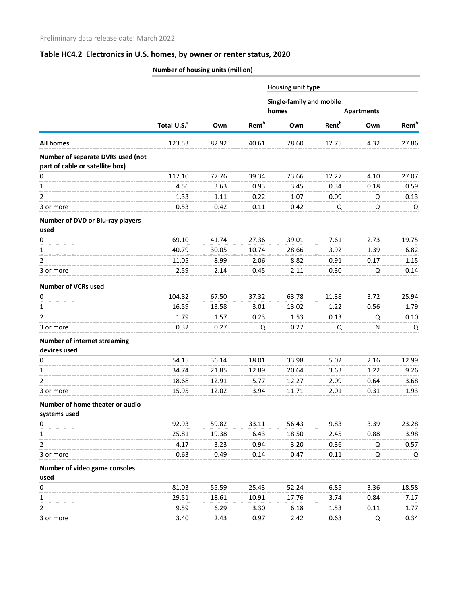|                                                     | Number of housing units (million) |       |                          |                                          |                          |                   |                          |
|-----------------------------------------------------|-----------------------------------|-------|--------------------------|------------------------------------------|--------------------------|-------------------|--------------------------|
|                                                     |                                   |       |                          | Housing unit type                        |                          |                   |                          |
|                                                     |                                   |       |                          | <b>Single-family and mobile</b><br>homes |                          | <b>Apartments</b> |                          |
|                                                     | Total U.S. <sup>a</sup>           | Own   | <b>Rent</b> <sup>b</sup> | Own                                      | <b>Rent</b> <sup>b</sup> | Own               | <b>Rent</b> <sup>b</sup> |
| <b>All homes</b>                                    | 123.53                            | 82.92 | 40.61                    | 78.60                                    | 12.75                    | 4.32              | 27.86                    |
| Number of separate DVRs used (not                   |                                   |       |                          |                                          |                          |                   |                          |
| part of cable or satellite box)                     |                                   |       |                          |                                          |                          |                   |                          |
| 0                                                   | 117.10                            | 77.76 | 39.34                    | 73.66                                    | 12.27                    | 4.10              | 27.07                    |
| 1                                                   | 4.56                              | 3.63  | 0.93                     | 3.45                                     | 0.34                     | 0.18              | 0.59                     |
| 2                                                   | 1.33                              | 1.11  | 0.22                     | 1.07                                     | 0.09                     | Q                 | 0.13                     |
| 3 or more                                           | 0.53                              | 0.42  | 0.11                     | 0.42                                     | Q                        | Q                 | Q                        |
| Number of DVD or Blu-ray players<br>used            |                                   |       |                          |                                          |                          |                   |                          |
| 0                                                   | 69.10                             | 41.74 | 27.36                    | 39.01                                    | 7.61                     | 2.73              | 19.75                    |
| 1                                                   | 40.79                             | 30.05 | 10.74                    | 28.66                                    | 3.92                     | 1.39              | 6.82                     |
| 2                                                   | 11.05                             | 8.99  | 2.06                     | 8.82                                     | 0.91                     | 0.17              | 1.15                     |
| 3 or more                                           | 2.59                              | 2.14  | 0.45                     | 2.11                                     | 0.30                     | Q                 | 0.14                     |
| <b>Number of VCRs used</b>                          |                                   |       |                          |                                          |                          |                   |                          |
| 0                                                   | 104.82                            | 67.50 | 37.32                    | 63.78                                    | 11.38                    | 3.72              | 25.94                    |
| 1                                                   | 16.59                             | 13.58 | 3.01                     | 13.02                                    | 1.22                     | 0.56              | 1.79                     |
| 2                                                   | 1.79                              | 1.57  | 0.23                     | 1.53                                     | 0.13                     | Q                 | 0.10                     |
| 3 or more                                           | 0.32                              | 0.27  | Q                        | 0.27                                     | Q                        | N                 | Q                        |
| <b>Number of internet streaming</b><br>devices used |                                   |       |                          |                                          |                          |                   |                          |
| 0                                                   | 54.15                             | 36.14 | 18.01                    | 33.98                                    | 5.02                     | 2.16              | 12.99                    |
| 1                                                   | 34.74                             | 21.85 | 12.89                    | 20.64                                    | 3.63                     | 1.22              | 9.26                     |
| 2                                                   | 18.68                             | 12.91 | 5.77                     | 12.27                                    | 2.09                     | 0.64              | 3.68                     |
| 3 or more                                           | 15.95                             | 12.02 | 3.94                     | 11.71                                    | 2.01                     | 0.31              | 1.93                     |
| Number of home theater or audio<br>systems used     |                                   |       |                          |                                          |                          |                   |                          |
| 0                                                   | 92.93                             | 59.82 | 33.11                    | 56.43                                    | 9.83                     | 3.39              | 23.28                    |
|                                                     | 25.81                             | 19.38 | 6.43                     | 18.50                                    | 2.45                     | 0.88              | 3.98                     |
| 2                                                   | 4.17                              | 3.23  | 0.94                     | 3.20                                     | 0.36                     | Q                 | 0.57                     |
| 3 or more                                           | 0.63                              | 0.49  | 0.14                     | 0.47                                     | 0.11                     | Q                 | Q                        |
| Number of video game consoles<br>used               |                                   |       |                          |                                          |                          |                   |                          |
| 0                                                   | 81.03                             | 55.59 | 25.43                    | 52.24                                    | 6.85                     | 3.36              | 18.58                    |
|                                                     | 29.51                             | 18.61 | 10.91                    | 17.76                                    | 3.74                     | 0.84              | 7.17                     |
|                                                     | 9.59                              | 6.29  | 3.30                     | 6.18                                     | 1.53                     | 0.11              | 1.77                     |
| 3 or more                                           | 3.40                              | 2.43  | 0.97                     | 2.42                                     | 0.63                     | Q                 | 0.34                     |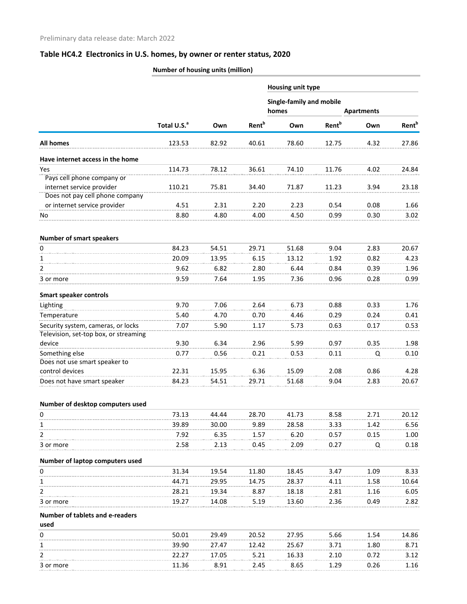|                                                                             | Number of housing units (million) |       |                          |                                   |                          |                   |                          |
|-----------------------------------------------------------------------------|-----------------------------------|-------|--------------------------|-----------------------------------|--------------------------|-------------------|--------------------------|
|                                                                             |                                   |       |                          | <b>Housing unit type</b>          |                          |                   |                          |
|                                                                             |                                   |       |                          | Single-family and mobile<br>homes |                          | <b>Apartments</b> |                          |
|                                                                             | Total U.S. <sup>a</sup>           | Own   | <b>Rent</b> <sup>b</sup> | Own                               | <b>Rent</b> <sup>b</sup> | Own               | <b>Rent</b> <sup>b</sup> |
| All homes                                                                   | 123.53                            | 82.92 | 40.61                    | 78.60                             | 12.75                    | 4.32              | 27.86                    |
| Have internet access in the home                                            |                                   |       |                          |                                   |                          |                   |                          |
| Yes                                                                         | 114.73                            | 78.12 | 36.61                    | 74.10                             | 11.76                    | 4.02              | 24.84                    |
| Pays cell phone company or                                                  |                                   |       |                          |                                   |                          |                   |                          |
| internet service provider                                                   | 110.21                            | 75.81 | 34.40                    | 71.87                             | 11.23                    | 3.94              | 23.18                    |
| Does not pay cell phone company                                             |                                   |       |                          |                                   |                          |                   |                          |
| or internet service provider                                                | 4.51                              | 2.31  | 2.20                     | 2.23                              | 0.54                     | 0.08              | 1.66                     |
| No                                                                          | 8.80                              | 4.80  | 4.00                     | 4.50                              | 0.99                     | 0.30              | 3.02                     |
| <b>Number of smart speakers</b>                                             |                                   |       |                          |                                   |                          |                   |                          |
| 0                                                                           | 84.23                             | 54.51 | 29.71                    | 51.68                             | 9.04                     | 2.83              | 20.67                    |
| 1                                                                           | 20.09                             | 13.95 | 6.15                     | 13.12                             | 1.92                     | 0.82              | 4.23                     |
| 2                                                                           | 9.62                              | 6.82  | 2.80                     | 6.44                              | 0.84                     | 0.39              | 1.96                     |
| 3 or more                                                                   | 9.59                              | 7.64  | 1.95                     | 7.36                              | 0.96                     | 0.28              | 0.99                     |
| <b>Smart speaker controls</b>                                               |                                   |       |                          |                                   |                          |                   |                          |
| Lighting                                                                    | 9.70                              | 7.06  | 2.64                     | 6.73                              | 0.88                     | 0.33              | 1.76                     |
| Temperature                                                                 | 5.40                              | 4.70  | 0.70                     | 4.46                              | 0.29                     | 0.24              | 0.41                     |
| Security system, cameras, or locks<br>Television, set-top box, or streaming | 7.07                              | 5.90  | 1.17                     | 5.73                              | 0.63                     | 0.17              | 0.53                     |
| device                                                                      | 9.30                              | 6.34  | 2.96                     | 5.99                              | 0.97                     | 0.35              | 1.98                     |
| Something else                                                              | 0.77                              | 0.56  | 0.21                     | 0.53                              | 0.11                     | Q                 | 0.10                     |
| Does not use smart speaker to                                               |                                   |       |                          |                                   |                          |                   |                          |
| control devices                                                             | 22.31                             | 15.95 | 6.36                     | 15.09                             | 2.08                     | 0.86              | 4.28                     |
| Does not have smart speaker                                                 | 84.23                             | 54.51 | 29.71                    | 51.68                             | 9.04                     | 2.83              | 20.67                    |
|                                                                             |                                   |       |                          |                                   |                          |                   |                          |
| Number of desktop computers used<br>0                                       | 73.13                             | 44.44 | 28.70                    | 41.73                             |                          | 2.71              | 20.12                    |
| 1                                                                           | 39.89                             | 30.00 | 9.89                     | 28.58                             | 8.58<br>3.33             | 1.42              | 6.56                     |
| 2                                                                           | 7.92                              | 6.35  |                          | 6.20                              | 0.57                     |                   |                          |
| 3 or more                                                                   | 2.58                              | 2.13  | 1.57<br>0.45             | 2.09                              | 0.27                     | 0.15<br>Q         | 1.00<br>0.18             |
| Number of laptop computers used                                             |                                   |       |                          |                                   |                          |                   |                          |
| 0                                                                           | 31.34                             | 19.54 | 11.80                    | 18.45                             | 3.47                     | 1.09              | 8.33                     |
| 1                                                                           | 44.71                             | 29.95 | 14.75                    | 28.37                             | 4.11                     | 1.58              | 10.64                    |
| 2                                                                           | 28.21                             | 19.34 | 8.87                     | 18.18                             | 2.81                     | 1.16              | 6.05                     |
| 3 or more                                                                   | 19.27                             | 14.08 | 5.19                     | 13.60                             | 2.36                     | 0.49              | 2.82                     |
| Number of tablets and e-readers                                             |                                   |       |                          |                                   |                          |                   |                          |
| used                                                                        |                                   |       |                          |                                   |                          |                   |                          |
| 0                                                                           | 50.01                             | 29.49 | 20.52                    | 27.95                             | 5.66                     | 1.54              | 14.86                    |
| 1                                                                           | 39.90                             | 27.47 | 12.42                    | 25.67                             | 3.71                     | 1.80              | 8.71                     |
| 2                                                                           | 22.27                             | 17.05 | 5.21                     | 16.33                             | 2.10                     | 0.72              | 3.12                     |
| 3 or more                                                                   | 11.36                             | 8.91  | 2.45                     | 8.65                              | 1.29                     | 0.26              | 1.16                     |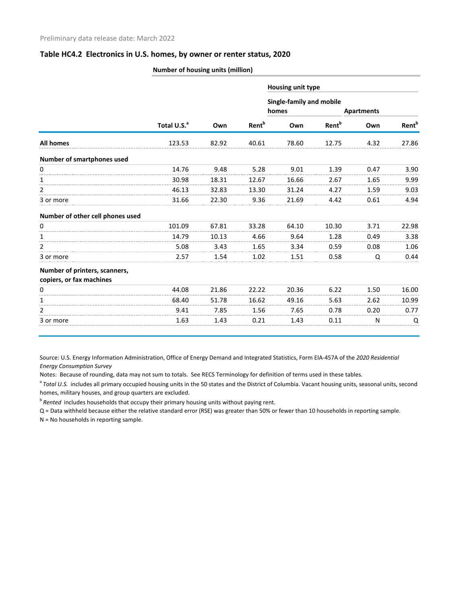|                                                           | Number of housing units (million) |       |                          |                          |                          |      |                          |  |  |  |
|-----------------------------------------------------------|-----------------------------------|-------|--------------------------|--------------------------|--------------------------|------|--------------------------|--|--|--|
|                                                           |                                   |       |                          | <b>Housing unit type</b> |                          |      |                          |  |  |  |
|                                                           |                                   |       |                          | Single-family and mobile |                          |      |                          |  |  |  |
|                                                           |                                   |       |                          | homes                    | <b>Apartments</b>        |      |                          |  |  |  |
|                                                           | Total U.S. <sup>a</sup>           | Own   | <b>Rent</b> <sup>b</sup> | Own                      | <b>Rent</b> <sup>b</sup> | Own  | <b>Rent</b> <sup>b</sup> |  |  |  |
| <b>All homes</b>                                          | 123.53                            | 82.92 | 40.61                    | 78.60                    | 12.75                    | 4.32 | 27.86                    |  |  |  |
| Number of smartphones used                                |                                   |       |                          |                          |                          |      |                          |  |  |  |
| 0                                                         | 14.76                             | 9.48  | 5.28                     | 9.01                     | 1.39                     | 0.47 | 3.90                     |  |  |  |
| 1                                                         | 30.98                             | 18.31 | 12.67                    | 16.66                    | 2.67                     | 1.65 | 9.99                     |  |  |  |
| $\overline{2}$                                            | 46.13                             | 32.83 | 13.30                    | 31.24                    | 4.27                     | 1.59 | 9.03                     |  |  |  |
| 3 or more                                                 | 31.66                             | 22.30 | 9.36                     | 21.69                    | 4.42                     | 0.61 | 4.94                     |  |  |  |
| Number of other cell phones used                          |                                   |       |                          |                          |                          |      |                          |  |  |  |
| 0                                                         | 101.09                            | 67.81 | 33.28                    | 64.10                    | 10.30                    | 3.71 | 22.98                    |  |  |  |
| 1                                                         | 14.79                             | 10.13 | 4.66                     | 9.64                     | 1.28                     | 0.49 | 3.38                     |  |  |  |
| $\overline{2}$                                            | 5.08                              | 3.43  | 1.65                     | 3.34                     | 0.59                     | 0.08 | 1.06                     |  |  |  |
| 3 or more                                                 | 2.57                              | 1.54  | 1.02                     | 1.51                     | 0.58                     | Q    | 0.44                     |  |  |  |
| Number of printers, scanners,<br>copiers, or fax machines |                                   |       |                          |                          |                          |      |                          |  |  |  |
| 0                                                         | 44.08                             | 21.86 | 22.22                    | 20.36                    | 6.22                     | 1.50 | 16.00                    |  |  |  |
| 1                                                         | 68.40                             | 51.78 | 16.62                    | 49.16                    | 5.63                     | 2.62 | 10.99                    |  |  |  |
| 2                                                         | 9.41                              | 7.85  | 1.56                     | 7.65                     | 0.78                     | 0.20 | 0.77                     |  |  |  |
| 3 or more                                                 | 1.63                              | 1.43  | 0.21                     | 1.43                     | 0.11                     | Ν    | Q                        |  |  |  |

Source: U.S. Energy Information Administration, Office of Energy Demand and Integrated Statistics, Form EIA-457A of the *2020 Residential Energy Consumption Survey*

Notes: Because of rounding, data may not sum to totals. See RECS Terminology for definition of terms used in these tables.

<sup>a</sup> Total U.S. includes all primary occupied housing units in the 50 states and the District of Columbia. Vacant housing units, seasonal units, second homes, military houses, and group quarters are excluded.

<sup>b</sup>*Rented* includes households that occupy their primary housing units without paying rent.

Q = Data withheld because either the relative standard error (RSE) was greater than 50% or fewer than 10 households in reporting sample.

N = No households in reporting sample.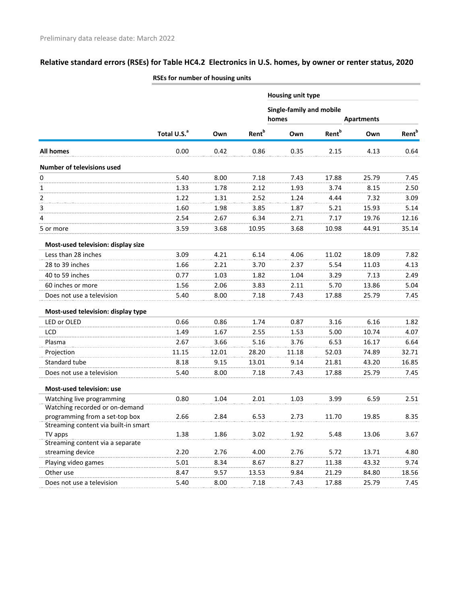|                                                      |                         |       |                          | Housing unit type                 |                          |                   |                   |
|------------------------------------------------------|-------------------------|-------|--------------------------|-----------------------------------|--------------------------|-------------------|-------------------|
|                                                      |                         |       |                          | Single-family and mobile<br>homes |                          | <b>Apartments</b> |                   |
|                                                      | Total U.S. <sup>a</sup> | Own   | <b>Rent</b> <sup>b</sup> | Own                               | <b>Rent</b> <sup>b</sup> | Own               | Rent <sup>b</sup> |
|                                                      |                         |       |                          |                                   |                          |                   |                   |
| All homes                                            | 0.00                    | 0.42  | 0.86                     | 0.35                              | 2.15                     | 4.13              | 0.64              |
| <b>Number of televisions used</b>                    |                         |       |                          |                                   |                          |                   |                   |
| 0                                                    | 5.40                    | 8.00  | 7.18                     | 7.43                              | 17.88                    | 25.79             | 7.45              |
| 1                                                    | 1.33                    | 1.78  | 2.12                     | 1.93                              | 3.74                     | 8.15              | 2.50              |
| 2                                                    | 1.22                    | 1.31  | 2.52                     | 1.24                              | 4.44                     | 7.32              | 3.09              |
| 3                                                    | 1.60                    | 1.98  | 3.85                     | 1.87                              | 5.21                     | 15.93             | 5.14              |
| 4                                                    | 2.54                    | 2.67  | 6.34                     | 2.71                              | 7.17                     | 19.76             | 12.16             |
| 5 or more                                            | 3.59                    | 3.68  | 10.95                    | 3.68                              | 10.98                    | 44.91             | 35.14             |
| Most-used television: display size                   |                         |       |                          |                                   |                          |                   |                   |
| Less than 28 inches                                  | 3.09                    | 4.21  | 6.14                     | 4.06                              | 11.02                    | 18.09             | 7.82              |
| 28 to 39 inches                                      | 1.66                    | 2.21  | 3.70                     | 2.37                              | 5.54                     | 11.03             | 4.13              |
| 40 to 59 inches                                      | 0.77                    | 1.03  | 1.82                     | 1.04                              | 3.29                     | 7.13              | 2.49              |
| 60 inches or more                                    | 1.56                    | 2.06  | 3.83                     | 2.11                              | 5.70                     | 13.86             | 5.04              |
| Does not use a television                            | 5.40                    | 8.00  | 7.18                     | 7.43                              | 17.88                    | 25.79             | 7.45              |
| Most-used television: display type                   |                         |       |                          |                                   |                          |                   |                   |
| LED or OLED                                          | 0.66                    | 0.86  | 1.74                     | 0.87                              | 3.16                     | 6.16              | 1.82              |
| LCD                                                  | 1.49                    | 1.67  | 2.55                     | 1.53                              | 5.00                     | 10.74             | 4.07              |
| Plasma                                               | 2.67                    | 3.66  | 5.16                     | 3.76                              | 6.53                     | 16.17             | 6.64              |
| Projection                                           | 11.15                   | 12.01 | 28.20                    | 11.18                             | 52.03                    | 74.89             | 32.71             |
| Standard tube                                        | 8.18                    | 9.15  | 13.01                    | 9.14                              | 21.81                    | 43.20             | 16.85             |
| Does not use a television                            | 5.40                    | 8.00  | 7.18                     | 7.43                              | 17.88                    | 25.79             | 7.45              |
| Most-used television: use                            |                         |       |                          |                                   |                          |                   |                   |
| Watching live programming                            | 0.80                    | 1.04  | 2.01                     | 1.03                              | 3.99                     | 6.59              | 2.51              |
| Watching recorded or on-demand                       |                         |       |                          |                                   |                          |                   |                   |
| programming from a set-top box                       | 2.66                    | 2.84  | 6.53                     | 2.73                              | 11.70                    | 19.85             | 8.35              |
| Streaming content via built-in smart                 |                         |       |                          |                                   |                          |                   |                   |
| TV apps                                              | 1.38                    | 1.86  | 3.02                     | 1.92                              | 5.48                     | 13.06             | 3.67              |
| Streaming content via a separate<br>streaming device | 2.20                    | 2.76  | 4.00                     | 2.76                              | 5.72                     | 13.71             | 4.80              |
| Playing video games                                  | 5.01                    | 8.34  | 8.67                     | 8.27                              | 11.38                    | 43.32             | 9.74              |
| Other use                                            | 8.47                    | 9.57  | 13.53                    | 9.84                              | 21.29                    | 84.80             | 18.56             |
| Does not use a television                            | 5.40                    | 8.00  | 7.18                     | 7.43                              | 17.88                    | 25.79             | 7.45              |
|                                                      |                         |       |                          |                                   |                          |                   |                   |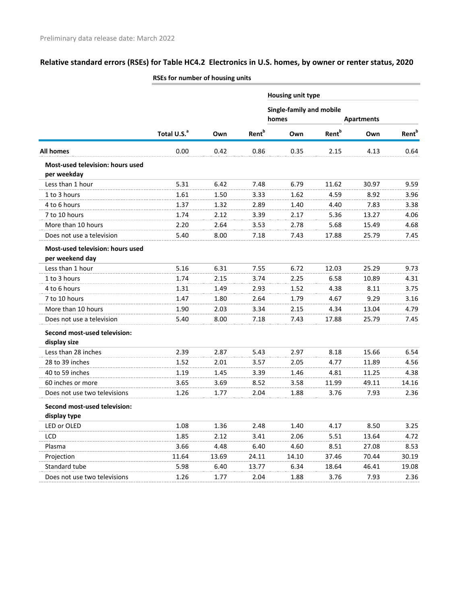|                                                 |                         |       |                          | Housing unit type |                                                               |       |                   |  |
|-------------------------------------------------|-------------------------|-------|--------------------------|-------------------|---------------------------------------------------------------|-------|-------------------|--|
|                                                 |                         |       |                          |                   | <b>Single-family and mobile</b><br>homes<br><b>Apartments</b> |       |                   |  |
|                                                 | Total U.S. <sup>a</sup> | Own   | <b>Rent</b> <sup>b</sup> | Own               | <b>Rent</b> <sup>b</sup>                                      | Own   | Rent <sup>b</sup> |  |
| All homes                                       | 0.00                    | 0.42  | 0.86                     | 0.35              | 2.15                                                          | 4.13  | 0.64              |  |
| Most-used television: hours used<br>per weekday |                         |       |                          |                   |                                                               |       |                   |  |
| Less than 1 hour                                | 5.31                    | 6.42  | 7.48                     | 6.79              | 11.62                                                         | 30.97 | 9.59              |  |
| 1 to 3 hours                                    | 1.61                    | 1.50  | 3.33                     | 1.62              | 4.59                                                          | 8.92  | 3.96              |  |
| 4 to 6 hours                                    | 1.37                    | 1.32  | 2.89                     | 1.40              | 4.40                                                          | 7.83  | 3.38              |  |
| 7 to 10 hours                                   | 1.74                    | 2.12  | 3.39                     | 2.17              | 5.36                                                          | 13.27 | 4.06              |  |
| More than 10 hours                              | 2.20                    | 2.64  | 3.53                     | 2.78              | 5.68                                                          | 15.49 | 4.68              |  |
| Does not use a television                       | 5.40                    | 8.00  | 7.18                     | 7.43              | 17.88                                                         | 25.79 | 7.45              |  |
| Most-used television: hours used                |                         |       |                          |                   |                                                               |       |                   |  |
| per weekend day                                 |                         |       |                          |                   |                                                               |       |                   |  |
| Less than 1 hour                                | 5.16                    | 6.31  | 7.55                     | 6.72              | 12.03                                                         | 25.29 | 9.73              |  |
| 1 to 3 hours                                    | 1.74                    | 2.15  | 3.74                     | 2.25              | 6.58                                                          | 10.89 | 4.31              |  |
| 4 to 6 hours                                    | 1.31                    | 1.49  | 2.93                     | 1.52              | 4.38                                                          | 8.11  | 3.75              |  |
| 7 to 10 hours                                   | 1.47                    | 1.80  | 2.64                     | 1.79              | 4.67                                                          | 9.29  | 3.16              |  |
| More than 10 hours                              | 1.90                    | 2.03  | 3.34                     | 2.15              | 4.34                                                          | 13.04 | 4.79              |  |
| Does not use a television                       | 5.40                    | 8.00  | 7.18                     | 7.43              | 17.88                                                         | 25.79 | 7.45              |  |
| Second most-used television:<br>display size    |                         |       |                          |                   |                                                               |       |                   |  |
| Less than 28 inches                             | 2.39                    | 2.87  | 5.43                     | 2.97              | 8.18                                                          | 15.66 | 6.54              |  |
| 28 to 39 inches                                 | 1.52                    | 2.01  | 3.57                     | 2.05              | 4.77                                                          | 11.89 | 4.56              |  |
| 40 to 59 inches                                 | 1.19                    | 1.45  | 3.39                     | 1.46              | 4.81                                                          | 11.25 | 4.38              |  |
| 60 inches or more                               | 3.65                    | 3.69  | 8.52                     | 3.58              | 11.99                                                         | 49.11 | 14.16             |  |
| Does not use two televisions                    | 1.26                    | 1.77  | 2.04                     | 1.88              | 3.76                                                          | 7.93  | 2.36              |  |
| Second most-used television:<br>display type    |                         |       |                          |                   |                                                               |       |                   |  |
| LED or OLED                                     | 1.08                    | 1.36  | 2.48                     | 1.40              | 4.17                                                          | 8.50  | 3.25              |  |
| LCD                                             | 1.85                    | 2.12  | 3.41                     | 2.06              | 5.51                                                          | 13.64 | 4.72              |  |
| Plasma                                          | 3.66                    | 4.48  | 6.40                     | 4.60              | 8.51                                                          | 27.08 | 8.53              |  |
| Projection                                      | 11.64                   | 13.69 | 24.11                    | 14.10             | 37.46                                                         | 70.44 | 30.19             |  |
| Standard tube                                   | 5.98                    | 6.40  | 13.77                    | 6.34              | 18.64                                                         | 46.41 | 19.08             |  |
| Does not use two televisions                    | 1.26                    | 1.77  | 2.04                     | 1.88              | 3.76                                                          | 7.93  | 2.36              |  |
|                                                 |                         |       |                          |                   |                                                               |       |                   |  |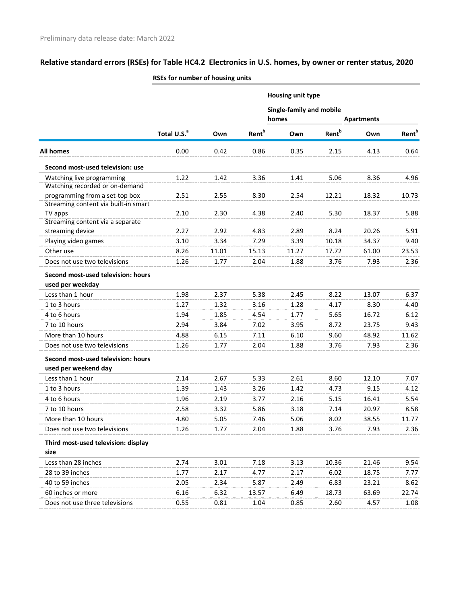|                                                 |                         |       |                          | Housing unit type        |                          |                   |                          |
|-------------------------------------------------|-------------------------|-------|--------------------------|--------------------------|--------------------------|-------------------|--------------------------|
|                                                 |                         |       |                          | Single-family and mobile |                          |                   |                          |
|                                                 |                         |       |                          | homes                    |                          | <b>Apartments</b> |                          |
|                                                 | Total U.S. <sup>a</sup> | Own   | <b>Rent</b> <sup>b</sup> | Own                      | <b>Rent</b> <sup>b</sup> | Own               | <b>Rent</b> <sup>b</sup> |
| <b>All homes</b>                                | 0.00                    | 0.42  | 0.86                     | 0.35                     | 2.15                     | 4.13              | 0.64                     |
| Second most-used television: use                |                         |       |                          |                          |                          |                   |                          |
| Watching live programming                       | 1.22                    | 1.42  | 3.36                     | 1.41                     | 5.06                     | 8.36              | 4.96                     |
| Watching recorded or on-demand                  |                         |       |                          |                          |                          |                   |                          |
| programming from a set-top box                  | 2.51                    | 2.55  | 8.30                     | 2.54                     | 12.21                    | 18.32             | 10.73                    |
| Streaming content via built-in smart<br>TV apps | 2.10                    | 2.30  | 4.38                     | 2.40                     | 5.30                     | 18.37             | 5.88                     |
| Streaming content via a separate                |                         |       |                          |                          |                          |                   |                          |
| streaming device                                | 2.27                    | 2.92  | 4.83                     | 2.89                     | 8.24                     | 20.26             | 5.91                     |
| Playing video games                             | 3.10                    | 3.34  | 7.29                     | 3.39                     | 10.18                    | 34.37             | 9.40                     |
| Other use                                       | 8.26                    | 11.01 | 15.13                    | 11.27                    | 17.72                    | 61.00             | 23.53                    |
| Does not use two televisions                    | 1.26                    | 1.77  | 2.04                     | 1.88                     | 3.76                     | 7.93              | 2.36                     |
| Second most-used television: hours              |                         |       |                          |                          |                          |                   |                          |
| used per weekday                                |                         |       |                          |                          |                          |                   |                          |
| Less than 1 hour                                | 1.98                    | 2.37  | 5.38                     | 2.45                     | 8.22                     | 13.07             | 6.37                     |
| 1 to 3 hours                                    | 1.27                    | 1.32  | 3.16                     | 1.28                     | 4.17                     | 8.30              | 4.40                     |
| 4 to 6 hours                                    | 1.94                    | 1.85  | 4.54                     | 1.77                     | 5.65                     | 16.72             | 6.12                     |
| 7 to 10 hours                                   | 2.94                    | 3.84  | 7.02                     | 3.95                     | 8.72                     | 23.75             | 9.43                     |
| More than 10 hours                              | 4.88                    | 6.15  | 7.11                     | 6.10                     | 9.60                     | 48.92             | 11.62                    |
| Does not use two televisions                    | 1.26                    | 1.77  | 2.04                     | 1.88                     | 3.76                     | 7.93              | 2.36                     |
| Second most-used television: hours              |                         |       |                          |                          |                          |                   |                          |
| used per weekend day                            |                         |       |                          |                          |                          |                   |                          |
| Less than 1 hour                                | 2.14                    | 2.67  | 5.33                     | 2.61                     | 8.60                     | 12.10             | 7.07                     |
| 1 to 3 hours                                    | 1.39                    | 1.43  | 3.26                     | 1.42                     | 4.73                     | 9.15              | 4.12                     |
| 4 to 6 hours                                    | 1.96                    | 2.19  | 3.77                     | 2.16                     | 5.15                     | 16.41             | 5.54                     |
| 7 to 10 hours                                   | 2.58                    | 3.32  | 5.86                     | 3.18                     | 7.14                     | 20.97             | 8.58                     |
| More than 10 hours                              | 4.80                    | 5.05  | 7.46                     | 5.06                     | 8.02                     | 38.55             | 11.77                    |
| Does not use two televisions                    | 1.26                    | 1.77  | 2.04                     | 1.88                     | 3.76                     | 7.93              | 2.36                     |
| Third most-used television: display             |                         |       |                          |                          |                          |                   |                          |
| size                                            |                         |       |                          |                          |                          |                   |                          |
| Less than 28 inches                             | 2.74                    | 3.01  | 7.18                     | 3.13                     | 10.36                    | 21.46             | 9.54                     |
| 28 to 39 inches                                 | 1.77                    | 2.17  | 4.77                     | 2.17                     | 6.02                     | 18.75             | 7.77                     |
| 40 to 59 inches                                 | 2.05                    | 2.34  | 5.87                     | 2.49                     | 6.83                     | 23.21             | 8.62                     |
| 60 inches or more                               | 6.16                    | 6.32  | 13.57                    | 6.49                     | 18.73                    | 63.69             | 22.74                    |
| Does not use three televisions                  | 0.55                    | 0.81  | 1.04                     | 0.85                     | 2.60                     | 4.57              | 1.08                     |
|                                                 |                         |       |                          |                          |                          |                   |                          |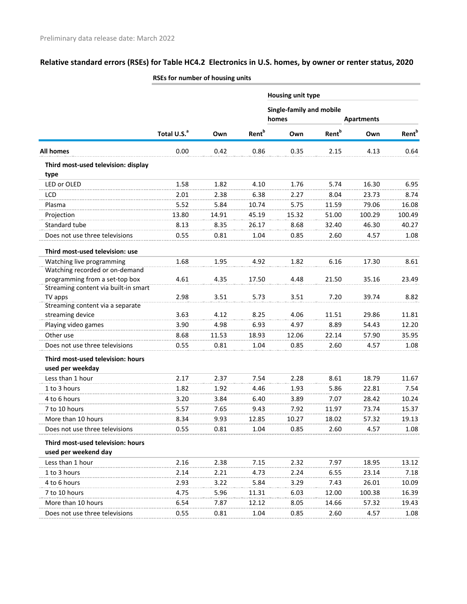|                                      | NULS TUT TIUMINUET UT NUUSINE UNIILS |       |                          |                          |                          |                   |                          |
|--------------------------------------|--------------------------------------|-------|--------------------------|--------------------------|--------------------------|-------------------|--------------------------|
|                                      |                                      |       |                          | Housing unit type        |                          |                   |                          |
|                                      |                                      |       |                          | Single-family and mobile |                          |                   |                          |
|                                      |                                      |       |                          | homes                    |                          | <b>Apartments</b> |                          |
|                                      | Total U.S. <sup>a</sup>              | Own   | <b>Rent</b> <sup>b</sup> | Own                      | <b>Rent</b> <sup>b</sup> | Own               | <b>Rent</b> <sup>b</sup> |
| <b>All homes</b>                     | 0.00                                 | 0.42  | 0.86                     | 0.35                     | 2.15                     | 4.13              | 0.64                     |
| Third most-used television: display  |                                      |       |                          |                          |                          |                   |                          |
| type                                 |                                      |       |                          |                          |                          |                   |                          |
| LED or OLED                          | 1.58                                 | 1.82  | 4.10                     | 1.76                     | 5.74                     | 16.30             | 6.95                     |
| LCD                                  | 2.01                                 | 2.38  | 6.38                     | 2.27                     | 8.04                     | 23.73             | 8.74                     |
| Plasma                               | 5.52                                 | 5.84  | 10.74                    | 5.75                     | 11.59                    | 79.06             | 16.08                    |
| Projection                           | 13.80                                | 14.91 | 45.19                    | 15.32                    | 51.00                    | 100.29            | 100.49                   |
| Standard tube                        | 8.13                                 | 8.35  | 26.17                    | 8.68                     | 32.40                    | 46.30             | 40.27                    |
| Does not use three televisions       | 0.55                                 | 0.81  | 1.04                     | 0.85                     | 2.60                     | 4.57              | 1.08                     |
| Third most-used television: use      |                                      |       |                          |                          |                          |                   |                          |
| Watching live programming            | 1.68                                 | 1.95  | 4.92                     | 1.82                     | 6.16                     | 17.30             | 8.61                     |
| Watching recorded or on-demand       |                                      |       |                          |                          |                          |                   |                          |
| programming from a set-top box       | 4.61                                 | 4.35  | 17.50                    | 4.48                     | 21.50                    | 35.16             | 23.49                    |
| Streaming content via built-in smart |                                      |       |                          |                          |                          |                   |                          |
| TV apps                              | 2.98                                 | 3.51  | 5.73                     | 3.51                     | 7.20                     | 39.74             | 8.82                     |
| Streaming content via a separate     |                                      |       |                          |                          |                          |                   |                          |
| streaming device                     | 3.63                                 | 4.12  | 8.25                     | 4.06                     | 11.51                    | 29.86             | 11.81                    |
| Playing video games                  | 3.90                                 | 4.98  | 6.93                     | 4.97                     | 8.89                     | 54.43             | 12.20                    |
| Other use                            | 8.68                                 | 11.53 | 18.93                    | 12.06                    | 22.14                    | 57.90             | 35.95                    |
| Does not use three televisions       | 0.55                                 | 0.81  | 1.04                     | 0.85                     | 2.60                     | 4.57              | 1.08                     |
| Third most-used television: hours    |                                      |       |                          |                          |                          |                   |                          |
| used per weekday                     |                                      |       |                          |                          |                          |                   |                          |
| Less than 1 hour                     | 2.17                                 | 2.37  | 7.54                     | 2.28                     | 8.61                     | 18.79             | 11.67                    |
| 1 to 3 hours                         | 1.82                                 | 1.92  | 4.46                     | 1.93                     | 5.86                     | 22.81             | 7.54                     |
| 4 to 6 hours                         | 3.ZU                                 | 3.84  | <b>b.40</b>              | 3.89                     | 1.01                     | 28.42             | 10.24                    |
| 7 to 10 hours                        | 5.57                                 | 7.65  | 9.43                     | 7.92                     | 11.97                    | 73.74             | 15.37                    |
| More than 10 hours                   | 8.34                                 | 9.93  | 12.85                    | 10.27                    | 18.02                    | 57.32             | 19.13                    |
| Does not use three televisions       | 0.55                                 | 0.81  | 1.04                     | 0.85                     | 2.60                     | 4.57              | 1.08                     |
| Third most-used television: hours    |                                      |       |                          |                          |                          |                   |                          |
| used per weekend day                 |                                      |       |                          |                          |                          |                   |                          |
| Less than 1 hour                     | 2.16                                 | 2.38  | 7.15                     | 2.32                     | 7.97                     | 18.95             | 13.12                    |
| 1 to 3 hours                         | 2.14                                 | 2.21  | 4.73                     | 2.24                     | 6.55                     | 23.14             | 7.18                     |
| 4 to 6 hours                         | 2.93                                 | 3.22  | 5.84                     | 3.29                     | 7.43                     | 26.01             | 10.09                    |
| 7 to 10 hours                        | 4.75                                 | 5.96  | 11.31                    | 6.03                     | 12.00                    | 100.38            | 16.39                    |
| More than 10 hours                   | 6.54                                 | 7.87  | 12.12                    | 8.05                     | 14.66                    | 57.32             | 19.43                    |
| Does not use three televisions       | 0.55                                 | 0.81  | 1.04                     | 0.85                     | 2.60                     | 4.57              | 1.08                     |
|                                      |                                      |       |                          |                          |                          |                   |                          |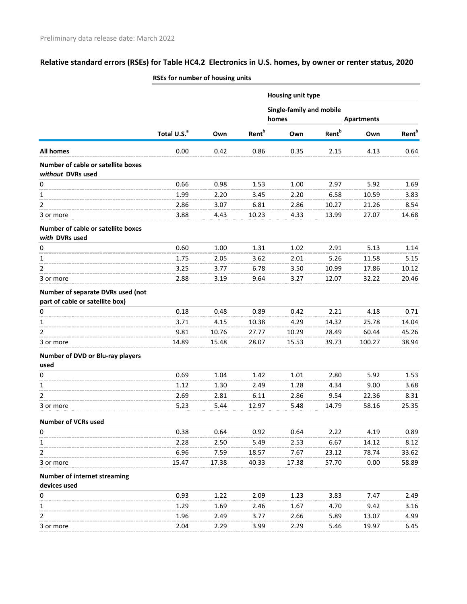| <b>Housing unit type</b><br>Single-family and mobile<br>homes<br><b>Apartments</b><br><b>Rent</b> <sup>b</sup><br><b>Rent</b> <sup>b</sup><br>Total U.S. <sup>a</sup><br>Own<br>Own<br>Own<br>0.00<br>0.42<br>0.86<br>All homes<br>0.35<br>2.15<br>4.13<br>Number of cable or satellite boxes<br>without DVRs used<br>0.66<br>0<br>0.98<br>1.53<br>1.00<br>2.97<br>5.92<br>1.99<br>6.58<br>1<br>2.20<br>3.45<br>2.20<br>10.59<br>2<br>2.86<br>3.07<br>6.81<br>2.86<br>10.27<br>21.26<br>3.88<br>10.23<br>4.33<br>13.99<br>27.07<br>4.43<br>3 or more<br>Number of cable or satellite boxes<br>with DVRs used<br>0.60<br>0<br>1.00<br>1.31<br>1.02<br>2.91<br>5.13<br>1.75<br>5.26<br>2.05<br>3.62<br>2.01<br>11.58<br>1<br>2<br>3.25<br>6.78<br>3.50<br>10.99<br>17.86<br>3.77<br>2.88<br>3 or more<br>3.19<br>9.64<br>3.27<br>12.07<br>32.22<br>Number of separate DVRs used (not<br>part of cable or satellite box)<br>0<br>0.18<br>0.48<br>0.89<br>0.42<br>2.21<br>4.18<br>3.71<br>10.38<br>4.15<br>4.29<br>14.32<br>25.78<br>1<br>$\overline{2}$<br>9.81<br>10.76<br>27.77<br>10.29<br>28.49<br>60.44<br>14.89<br>39.73<br>100.27<br>15.48<br>28.07<br>15.53<br>3 or more<br>Number of DVD or Blu-ray players<br>used<br>0.69<br>0<br>1.04<br>1.01<br>2.80<br>5.92<br>1.42<br>1.12<br>2.49<br>1.28<br>4.34<br>9.00<br>1<br>1.30<br>$\overline{2}$<br>2.69<br>2.81<br>6.11<br>2.86<br>9.54<br>22.36<br>5.23<br>5.44<br>12.97<br>5.48<br>14.79<br>58.16<br>3 or more<br><b>Number of VCRs used</b><br>0.38<br>0<br>0.64<br>0.92<br>0.64<br>2.22<br>4.19<br>1<br>2.28<br>6.67<br>2.50<br>5.49<br>2.53<br>14.12<br>2<br>6.96<br>7.59<br>18.57<br>7.67<br>23.12<br>78.74<br>15.47<br>17.38<br>17.38<br>40.33<br>57.70<br>0.00<br>3 or more<br><b>Number of internet streaming</b><br>devices used<br>0.93<br>1.22<br>2.09<br>1.23<br>3.83<br>7.47<br>0<br>1<br>1.29<br>1.69<br>2.46<br>1.67<br>4.70<br>9.42<br>2<br>1.96<br>2.66<br>5.89<br>13.07<br>2.49<br>3.77<br>2.04<br>3.99<br>2.29<br>5.46<br>19.97<br>2.29<br>3 or more | RSEs for number of housing units |  |  |                          |
|--------------------------------------------------------------------------------------------------------------------------------------------------------------------------------------------------------------------------------------------------------------------------------------------------------------------------------------------------------------------------------------------------------------------------------------------------------------------------------------------------------------------------------------------------------------------------------------------------------------------------------------------------------------------------------------------------------------------------------------------------------------------------------------------------------------------------------------------------------------------------------------------------------------------------------------------------------------------------------------------------------------------------------------------------------------------------------------------------------------------------------------------------------------------------------------------------------------------------------------------------------------------------------------------------------------------------------------------------------------------------------------------------------------------------------------------------------------------------------------------------------------------------------------------------------------------------------------------------------------------------------------------------------------------------------------------------------------------------------------------------------------------------------------------------------------------------------------------------------------------------------------------------------------------------------------------------------------------------------------------------------------------------------|----------------------------------|--|--|--------------------------|
|                                                                                                                                                                                                                                                                                                                                                                                                                                                                                                                                                                                                                                                                                                                                                                                                                                                                                                                                                                                                                                                                                                                                                                                                                                                                                                                                                                                                                                                                                                                                                                                                                                                                                                                                                                                                                                                                                                                                                                                                                                |                                  |  |  |                          |
|                                                                                                                                                                                                                                                                                                                                                                                                                                                                                                                                                                                                                                                                                                                                                                                                                                                                                                                                                                                                                                                                                                                                                                                                                                                                                                                                                                                                                                                                                                                                                                                                                                                                                                                                                                                                                                                                                                                                                                                                                                |                                  |  |  |                          |
|                                                                                                                                                                                                                                                                                                                                                                                                                                                                                                                                                                                                                                                                                                                                                                                                                                                                                                                                                                                                                                                                                                                                                                                                                                                                                                                                                                                                                                                                                                                                                                                                                                                                                                                                                                                                                                                                                                                                                                                                                                |                                  |  |  | <b>Rent</b> <sup>b</sup> |
|                                                                                                                                                                                                                                                                                                                                                                                                                                                                                                                                                                                                                                                                                                                                                                                                                                                                                                                                                                                                                                                                                                                                                                                                                                                                                                                                                                                                                                                                                                                                                                                                                                                                                                                                                                                                                                                                                                                                                                                                                                |                                  |  |  | 0.64                     |
|                                                                                                                                                                                                                                                                                                                                                                                                                                                                                                                                                                                                                                                                                                                                                                                                                                                                                                                                                                                                                                                                                                                                                                                                                                                                                                                                                                                                                                                                                                                                                                                                                                                                                                                                                                                                                                                                                                                                                                                                                                |                                  |  |  |                          |
|                                                                                                                                                                                                                                                                                                                                                                                                                                                                                                                                                                                                                                                                                                                                                                                                                                                                                                                                                                                                                                                                                                                                                                                                                                                                                                                                                                                                                                                                                                                                                                                                                                                                                                                                                                                                                                                                                                                                                                                                                                |                                  |  |  | 1.69                     |
|                                                                                                                                                                                                                                                                                                                                                                                                                                                                                                                                                                                                                                                                                                                                                                                                                                                                                                                                                                                                                                                                                                                                                                                                                                                                                                                                                                                                                                                                                                                                                                                                                                                                                                                                                                                                                                                                                                                                                                                                                                |                                  |  |  | 3.83                     |
|                                                                                                                                                                                                                                                                                                                                                                                                                                                                                                                                                                                                                                                                                                                                                                                                                                                                                                                                                                                                                                                                                                                                                                                                                                                                                                                                                                                                                                                                                                                                                                                                                                                                                                                                                                                                                                                                                                                                                                                                                                |                                  |  |  | 8.54                     |
|                                                                                                                                                                                                                                                                                                                                                                                                                                                                                                                                                                                                                                                                                                                                                                                                                                                                                                                                                                                                                                                                                                                                                                                                                                                                                                                                                                                                                                                                                                                                                                                                                                                                                                                                                                                                                                                                                                                                                                                                                                |                                  |  |  | 14.68                    |
|                                                                                                                                                                                                                                                                                                                                                                                                                                                                                                                                                                                                                                                                                                                                                                                                                                                                                                                                                                                                                                                                                                                                                                                                                                                                                                                                                                                                                                                                                                                                                                                                                                                                                                                                                                                                                                                                                                                                                                                                                                |                                  |  |  |                          |
|                                                                                                                                                                                                                                                                                                                                                                                                                                                                                                                                                                                                                                                                                                                                                                                                                                                                                                                                                                                                                                                                                                                                                                                                                                                                                                                                                                                                                                                                                                                                                                                                                                                                                                                                                                                                                                                                                                                                                                                                                                |                                  |  |  | 1.14                     |
|                                                                                                                                                                                                                                                                                                                                                                                                                                                                                                                                                                                                                                                                                                                                                                                                                                                                                                                                                                                                                                                                                                                                                                                                                                                                                                                                                                                                                                                                                                                                                                                                                                                                                                                                                                                                                                                                                                                                                                                                                                |                                  |  |  | 5.15                     |
|                                                                                                                                                                                                                                                                                                                                                                                                                                                                                                                                                                                                                                                                                                                                                                                                                                                                                                                                                                                                                                                                                                                                                                                                                                                                                                                                                                                                                                                                                                                                                                                                                                                                                                                                                                                                                                                                                                                                                                                                                                |                                  |  |  | 10.12                    |
|                                                                                                                                                                                                                                                                                                                                                                                                                                                                                                                                                                                                                                                                                                                                                                                                                                                                                                                                                                                                                                                                                                                                                                                                                                                                                                                                                                                                                                                                                                                                                                                                                                                                                                                                                                                                                                                                                                                                                                                                                                |                                  |  |  | 20.46                    |
|                                                                                                                                                                                                                                                                                                                                                                                                                                                                                                                                                                                                                                                                                                                                                                                                                                                                                                                                                                                                                                                                                                                                                                                                                                                                                                                                                                                                                                                                                                                                                                                                                                                                                                                                                                                                                                                                                                                                                                                                                                |                                  |  |  |                          |
|                                                                                                                                                                                                                                                                                                                                                                                                                                                                                                                                                                                                                                                                                                                                                                                                                                                                                                                                                                                                                                                                                                                                                                                                                                                                                                                                                                                                                                                                                                                                                                                                                                                                                                                                                                                                                                                                                                                                                                                                                                |                                  |  |  | 0.71                     |
|                                                                                                                                                                                                                                                                                                                                                                                                                                                                                                                                                                                                                                                                                                                                                                                                                                                                                                                                                                                                                                                                                                                                                                                                                                                                                                                                                                                                                                                                                                                                                                                                                                                                                                                                                                                                                                                                                                                                                                                                                                |                                  |  |  | 14.04                    |
|                                                                                                                                                                                                                                                                                                                                                                                                                                                                                                                                                                                                                                                                                                                                                                                                                                                                                                                                                                                                                                                                                                                                                                                                                                                                                                                                                                                                                                                                                                                                                                                                                                                                                                                                                                                                                                                                                                                                                                                                                                |                                  |  |  | 45.26                    |
|                                                                                                                                                                                                                                                                                                                                                                                                                                                                                                                                                                                                                                                                                                                                                                                                                                                                                                                                                                                                                                                                                                                                                                                                                                                                                                                                                                                                                                                                                                                                                                                                                                                                                                                                                                                                                                                                                                                                                                                                                                |                                  |  |  | 38.94                    |
|                                                                                                                                                                                                                                                                                                                                                                                                                                                                                                                                                                                                                                                                                                                                                                                                                                                                                                                                                                                                                                                                                                                                                                                                                                                                                                                                                                                                                                                                                                                                                                                                                                                                                                                                                                                                                                                                                                                                                                                                                                |                                  |  |  |                          |
|                                                                                                                                                                                                                                                                                                                                                                                                                                                                                                                                                                                                                                                                                                                                                                                                                                                                                                                                                                                                                                                                                                                                                                                                                                                                                                                                                                                                                                                                                                                                                                                                                                                                                                                                                                                                                                                                                                                                                                                                                                |                                  |  |  | 1.53                     |
|                                                                                                                                                                                                                                                                                                                                                                                                                                                                                                                                                                                                                                                                                                                                                                                                                                                                                                                                                                                                                                                                                                                                                                                                                                                                                                                                                                                                                                                                                                                                                                                                                                                                                                                                                                                                                                                                                                                                                                                                                                |                                  |  |  | 3.68                     |
|                                                                                                                                                                                                                                                                                                                                                                                                                                                                                                                                                                                                                                                                                                                                                                                                                                                                                                                                                                                                                                                                                                                                                                                                                                                                                                                                                                                                                                                                                                                                                                                                                                                                                                                                                                                                                                                                                                                                                                                                                                |                                  |  |  | 8.31                     |
|                                                                                                                                                                                                                                                                                                                                                                                                                                                                                                                                                                                                                                                                                                                                                                                                                                                                                                                                                                                                                                                                                                                                                                                                                                                                                                                                                                                                                                                                                                                                                                                                                                                                                                                                                                                                                                                                                                                                                                                                                                |                                  |  |  | 25.35                    |
|                                                                                                                                                                                                                                                                                                                                                                                                                                                                                                                                                                                                                                                                                                                                                                                                                                                                                                                                                                                                                                                                                                                                                                                                                                                                                                                                                                                                                                                                                                                                                                                                                                                                                                                                                                                                                                                                                                                                                                                                                                |                                  |  |  |                          |
|                                                                                                                                                                                                                                                                                                                                                                                                                                                                                                                                                                                                                                                                                                                                                                                                                                                                                                                                                                                                                                                                                                                                                                                                                                                                                                                                                                                                                                                                                                                                                                                                                                                                                                                                                                                                                                                                                                                                                                                                                                |                                  |  |  | 0.89                     |
|                                                                                                                                                                                                                                                                                                                                                                                                                                                                                                                                                                                                                                                                                                                                                                                                                                                                                                                                                                                                                                                                                                                                                                                                                                                                                                                                                                                                                                                                                                                                                                                                                                                                                                                                                                                                                                                                                                                                                                                                                                |                                  |  |  | 8.12                     |
|                                                                                                                                                                                                                                                                                                                                                                                                                                                                                                                                                                                                                                                                                                                                                                                                                                                                                                                                                                                                                                                                                                                                                                                                                                                                                                                                                                                                                                                                                                                                                                                                                                                                                                                                                                                                                                                                                                                                                                                                                                |                                  |  |  | 33.62                    |
|                                                                                                                                                                                                                                                                                                                                                                                                                                                                                                                                                                                                                                                                                                                                                                                                                                                                                                                                                                                                                                                                                                                                                                                                                                                                                                                                                                                                                                                                                                                                                                                                                                                                                                                                                                                                                                                                                                                                                                                                                                |                                  |  |  | 58.89                    |
|                                                                                                                                                                                                                                                                                                                                                                                                                                                                                                                                                                                                                                                                                                                                                                                                                                                                                                                                                                                                                                                                                                                                                                                                                                                                                                                                                                                                                                                                                                                                                                                                                                                                                                                                                                                                                                                                                                                                                                                                                                |                                  |  |  |                          |
|                                                                                                                                                                                                                                                                                                                                                                                                                                                                                                                                                                                                                                                                                                                                                                                                                                                                                                                                                                                                                                                                                                                                                                                                                                                                                                                                                                                                                                                                                                                                                                                                                                                                                                                                                                                                                                                                                                                                                                                                                                |                                  |  |  |                          |
|                                                                                                                                                                                                                                                                                                                                                                                                                                                                                                                                                                                                                                                                                                                                                                                                                                                                                                                                                                                                                                                                                                                                                                                                                                                                                                                                                                                                                                                                                                                                                                                                                                                                                                                                                                                                                                                                                                                                                                                                                                |                                  |  |  | 2.49                     |
|                                                                                                                                                                                                                                                                                                                                                                                                                                                                                                                                                                                                                                                                                                                                                                                                                                                                                                                                                                                                                                                                                                                                                                                                                                                                                                                                                                                                                                                                                                                                                                                                                                                                                                                                                                                                                                                                                                                                                                                                                                |                                  |  |  | 3.16                     |
|                                                                                                                                                                                                                                                                                                                                                                                                                                                                                                                                                                                                                                                                                                                                                                                                                                                                                                                                                                                                                                                                                                                                                                                                                                                                                                                                                                                                                                                                                                                                                                                                                                                                                                                                                                                                                                                                                                                                                                                                                                |                                  |  |  | 4.99                     |
|                                                                                                                                                                                                                                                                                                                                                                                                                                                                                                                                                                                                                                                                                                                                                                                                                                                                                                                                                                                                                                                                                                                                                                                                                                                                                                                                                                                                                                                                                                                                                                                                                                                                                                                                                                                                                                                                                                                                                                                                                                |                                  |  |  | 6.45                     |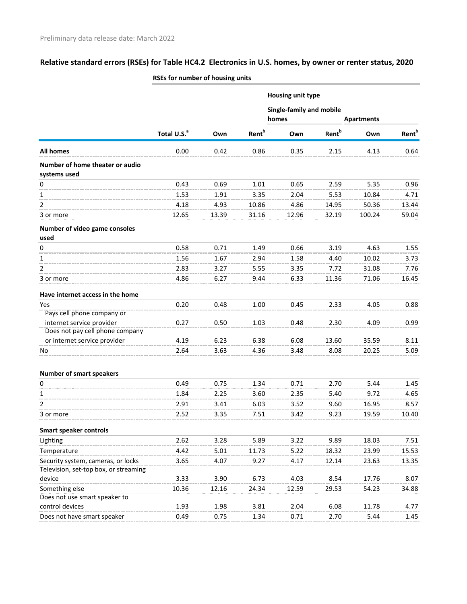|                                                 | <b>NOLS TOP HUMBER OF HOUSING UNITS</b> |       |                          |                            |                          |        |                          |
|-------------------------------------------------|-----------------------------------------|-------|--------------------------|----------------------------|--------------------------|--------|--------------------------|
|                                                 |                                         |       |                          | Housing unit type          |                          |        |                          |
|                                                 |                                         | Own   |                          | Single-family and mobile   |                          |        |                          |
|                                                 | Total U.S. <sup>a</sup>                 |       | <b>Rent</b> <sup>b</sup> | homes<br><b>Apartments</b> |                          |        |                          |
|                                                 |                                         |       |                          | Own                        | <b>Rent</b> <sup>b</sup> | Own    | <b>Rent</b> <sup>b</sup> |
| <b>All homes</b>                                | 0.00                                    | 0.42  | 0.86                     | 0.35                       | 2.15                     | 4.13   | 0.64                     |
| Number of home theater or audio<br>systems used |                                         |       |                          |                            |                          |        |                          |
| 0                                               | 0.43                                    | 0.69  | 1.01                     | 0.65                       | 2.59                     | 5.35   | 0.96                     |
| $\mathbf{1}$                                    | 1.53                                    | 1.91  | 3.35                     | 2.04                       | 5.53                     | 10.84  | 4.71                     |
| $\overline{2}$                                  | 4.18                                    | 4.93  | 10.86                    | 4.86                       | 14.95                    | 50.36  | 13.44                    |
| 3 or more                                       | 12.65                                   | 13.39 | 31.16                    | 12.96                      | 32.19                    | 100.24 | 59.04                    |
| Number of video game consoles<br>used           |                                         |       |                          |                            |                          |        |                          |
| 0                                               | 0.58                                    | 0.71  | 1.49                     | 0.66                       | 3.19                     | 4.63   | 1.55                     |
| $\mathbf{1}$                                    | 1.56                                    | 1.67  | 2.94                     | 1.58                       | 4.40                     | 10.02  | 3.73                     |
| $\overline{2}$                                  | 2.83                                    | 3.27  | 5.55                     | 3.35                       | 7.72                     | 31.08  | 7.76                     |
| 3 or more                                       | 4.86                                    | 6.27  | 9.44                     | 6.33                       | 11.36                    | 71.06  | 16.45                    |
| Have internet access in the home                |                                         |       |                          |                            |                          |        |                          |
| Yes                                             | 0.20                                    | 0.48  | 1.00                     | 0.45                       | 2.33                     | 4.05   | 0.88                     |
| Pays cell phone company or                      |                                         |       |                          |                            |                          |        |                          |
| internet service provider                       | 0.27                                    | 0.50  | 1.03                     | 0.48                       | 2.30                     | 4.09   | 0.99                     |
| Does not pay cell phone company                 |                                         |       |                          |                            |                          |        |                          |
| or internet service provider                    | 4.19                                    | 6.23  | 6.38                     | 6.08                       | 13.60                    | 35.59  | 8.11                     |
| No                                              | 2.64                                    | 3.63  | 4.36                     | 3.48                       | 8.08                     | 20.25  | 5.09                     |
| <b>Number of smart speakers</b>                 |                                         |       |                          |                            |                          |        |                          |
| 0                                               | 0.49                                    | 0.75  | 1.34                     | 0.71                       | 2.70                     | 5.44   | 1.45                     |
| 1                                               | 1.84                                    | 2.25  | 3.60                     | 2.35                       | 5.40                     | 9.72   | 4.65                     |
| $\overline{2}$                                  | 2.91                                    | 3.41  | 6.03                     | 3.52                       | 9.60                     | 16.95  | 8.57                     |
| 3 or more                                       | 2.52                                    | 3.35  | 7.51                     | 3.42                       | 9.23                     | 19.59  | 10.40                    |
| <b>Smart speaker controls</b>                   |                                         |       |                          |                            |                          |        |                          |
| Lighting                                        | 2.62                                    | 3.28  | 5.89                     | 3.22                       | 9.89                     | 18.03  | 7.51                     |
| Temperature                                     | 4.42                                    | 5.01  | 11.73                    | 5.22                       | 18.32                    | 23.99  | 15.53                    |
| Security system, cameras, or locks              | 3.65                                    | 4.07  | 9.27                     | 4.17                       | 12.14                    | 23.63  | 13.35                    |
| Television, set-top box, or streaming           |                                         |       |                          |                            |                          |        |                          |
| device                                          | 3.33                                    | 3.90  | 6.73                     | 4.03                       | 8.54                     | 17.76  | 8.07                     |
| Something else                                  | 10.36                                   | 12.16 | 24.34                    | 12.59                      | 29.53                    | 54.23  | 34.88                    |
| Does not use smart speaker to                   |                                         |       |                          |                            |                          |        |                          |
| control devices                                 | 1.93                                    | 1.98  | 3.81                     | 2.04                       | 6.08                     | 11.78  | 4.77                     |
| Does not have smart speaker                     | 0.49                                    | 0.75  | 1.34                     | 0.71                       | 2.70                     | 5.44   | 1.45                     |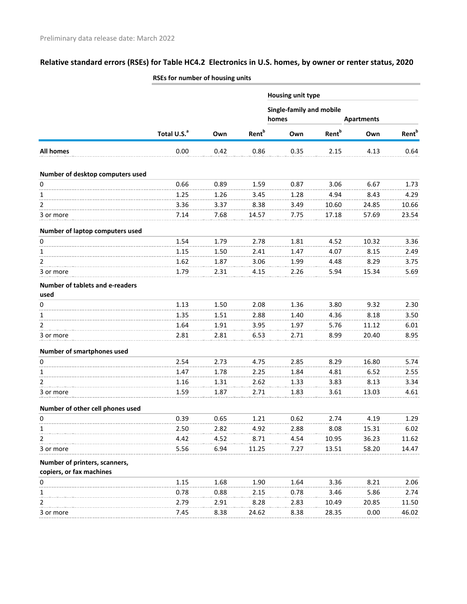|                                         | <b>NOES TOT HUITIDEL OF HOUSING UITILS</b> |      |                          |                                               |                          |       |                   |  |
|-----------------------------------------|--------------------------------------------|------|--------------------------|-----------------------------------------------|--------------------------|-------|-------------------|--|
|                                         |                                            |      |                          | Housing unit type<br>Single-family and mobile |                          |       |                   |  |
|                                         |                                            |      |                          |                                               |                          |       |                   |  |
|                                         |                                            |      |                          | homes                                         | <b>Apartments</b>        |       |                   |  |
|                                         | Total U.S. <sup>a</sup>                    | Own  | <b>Rent</b> <sup>b</sup> | Own                                           | <b>Rent</b> <sup>b</sup> | Own   | Rent <sup>b</sup> |  |
| All homes                               | 0.00                                       | 0.42 | 0.86                     | 0.35                                          | 2.15                     | 4.13  | 0.64              |  |
| Number of desktop computers used        |                                            |      |                          |                                               |                          |       |                   |  |
| $\mathsf 0$                             | 0.66                                       | 0.89 | 1.59                     | 0.87                                          | 3.06                     | 6.67  | 1.73              |  |
| 1                                       | 1.25                                       | 1.26 | 3.45                     | 1.28                                          | 4.94                     | 8.43  | 4.29              |  |
| 2                                       | 3.36                                       | 3.37 | 8.38                     | 3.49                                          | 10.60                    | 24.85 | 10.66             |  |
| 3 or more                               | 7.14                                       | 7.68 | 14.57                    | 7.75                                          | 17.18                    | 57.69 | 23.54             |  |
| Number of laptop computers used         |                                            |      |                          |                                               |                          |       |                   |  |
| $\pmb{0}$                               | 1.54                                       | 1.79 | 2.78                     | 1.81                                          | 4.52                     | 10.32 | 3.36              |  |
| 1                                       | 1.15                                       | 1.50 | 2.41                     | 1.47                                          | 4.07                     | 8.15  | 2.49              |  |
| $\overline{2}$                          | 1.62                                       | 1.87 | 3.06                     | 1.99                                          | 4.48                     | 8.29  | 3.75              |  |
| 3 or more                               | 1.79                                       | 2.31 | 4.15                     | 2.26                                          | 5.94                     | 15.34 | 5.69              |  |
| Number of tablets and e-readers<br>used |                                            |      |                          |                                               |                          |       |                   |  |
| 0                                       | 1.13                                       | 1.50 | 2.08                     | 1.36                                          | 3.80                     | 9.32  | 2.30              |  |
| 1                                       | 1.35                                       | 1.51 | 2.88                     | 1.40                                          | 4.36                     | 8.18  | 3.50              |  |
| $\overline{2}$                          | 1.64                                       | 1.91 | 3.95                     | 1.97                                          | 5.76                     | 11.12 | 6.01              |  |
| 3 or more                               | 2.81                                       | 2.81 | 6.53                     | 2.71                                          | 8.99                     | 20.40 | 8.95              |  |
| Number of smartphones used              |                                            |      |                          |                                               |                          |       |                   |  |
| 0                                       | 2.54                                       | 2.73 | 4.75                     | 2.85                                          | 8.29                     | 16.80 | 5.74              |  |
| 1                                       | 1.47                                       | 1.78 | 2.25                     | 1.84                                          | 4.81                     | 6.52  | 2.55              |  |
| 2                                       | 1.16                                       | 1.31 | 2.62                     | 1.33                                          | 3.83                     | 8.13  | 3.34              |  |
| 3 or more                               | 1.59                                       | 1.87 | 2.71                     | 1.83                                          | 3.61                     | 13.03 | 4.61              |  |
| Number of other cell phones used        |                                            |      |                          |                                               |                          |       |                   |  |
| 0                                       | 0.39                                       | 0.65 | 1.21                     | 0.62                                          | 2.74                     | 4.19  | 1.29              |  |
| 1                                       | 2.50                                       | 2.82 | 4.92                     | 2.88                                          | 8.08                     | 15.31 | 6.02              |  |
| 2                                       | 4.42                                       | 4.52 | 8.71                     | 4.54                                          | 10.95                    | 36.23 | 11.62             |  |
| 3 or more                               | 5.56                                       | 6.94 | 11.25                    | 7.27                                          | 13.51                    | 58.20 | 14.47             |  |
| Number of printers, scanners,           |                                            |      |                          |                                               |                          |       |                   |  |
| copiers, or fax machines                |                                            |      |                          |                                               |                          |       |                   |  |
| 0                                       | 1.15                                       | 1.68 | 1.90                     | 1.64                                          | 3.36                     | 8.21  | 2.06              |  |
| 1                                       | 0.78                                       | 0.88 | 2.15                     | 0.78                                          | 3.46                     | 5.86  | 2.74              |  |
| 2                                       | 2.79                                       | 2.91 | 8.28                     | 2.83                                          | 10.49                    | 20.85 | 11.50             |  |
| 3 or more                               | 7.45                                       | 8.38 | 24.62                    | 8.38                                          | 28.35                    | 0.00  | 46.02             |  |